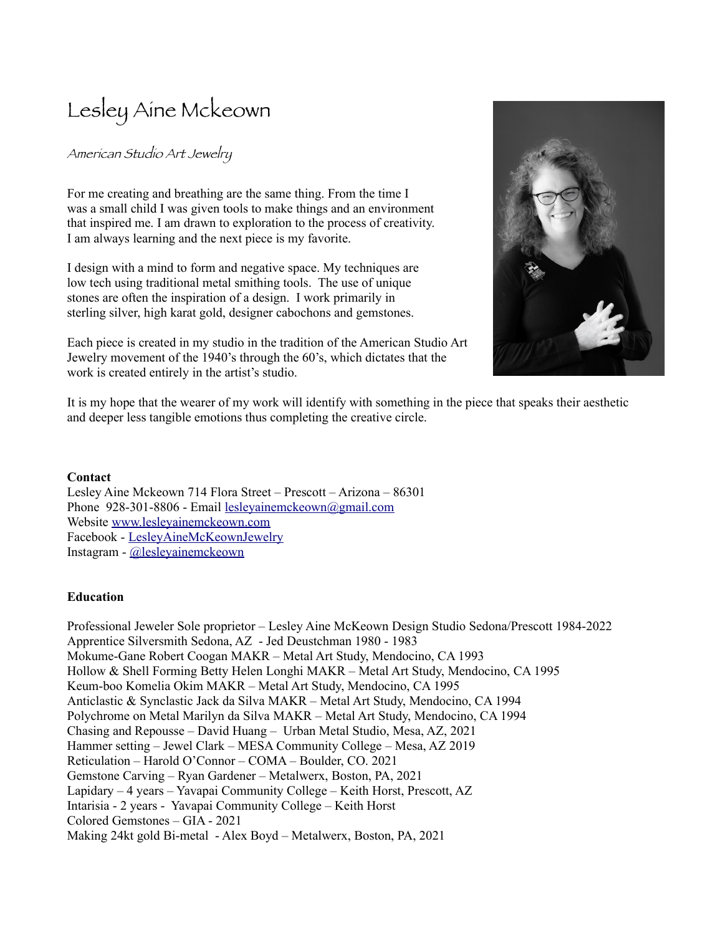# Lesley Aine Mckeown

# American Studio Art Jewelry

For me creating and breathing are the same thing. From the time I was a small child I was given tools to make things and an environment that inspired me. I am drawn to exploration to the process of creativity. I am always learning and the next piece is my favorite.

I design with a mind to form and negative space. My techniques are low tech using traditional metal smithing tools. The use of unique stones are often the inspiration of a design. I work primarily in sterling silver, high karat gold, designer cabochons and gemstones.

Each piece is created in my studio in the tradition of the American Studio Art Jewelry movement of the 1940's through the 60's, which dictates that the work is created entirely in the artist's studio.



It is my hope that the wearer of my work will identify with something in the piece that speaks their aesthetic and deeper less tangible emotions thus completing the creative circle.

# **Contact**

Lesley Aine Mckeown 714 Flora Street – Prescott – Arizona – 86301 Phone 928-301-8806 - Email [lesleyainemckeown@gmail.com](mailto:lesleyainemckeown@gmail.com) Website [www.lesleyainemckeown.com](http://www.lesleyainemckeown.com/) Facebook - [LesleyAineMcKeownJewelry](https://www.facebook.com/LesleyAineMckeownJewelry) Instagram - [@lesleyainemckeown](https://www.instagram.com/lesleyainemckeown/)

# **Education**

Professional Jeweler Sole proprietor – Lesley Aine McKeown Design Studio Sedona/Prescott 1984-2022 Apprentice Silversmith Sedona, AZ - Jed Deustchman 1980 - 1983 Mokume-Gane Robert Coogan MAKR – Metal Art Study, Mendocino, CA 1993 Hollow & Shell Forming Betty Helen Longhi MAKR – Metal Art Study, Mendocino, CA 1995 Keum-boo Komelia Okim MAKR – Metal Art Study, Mendocino, CA 1995 Anticlastic & Synclastic Jack da Silva MAKR – Metal Art Study, Mendocino, CA 1994 Polychrome on Metal Marilyn da Silva MAKR – Metal Art Study, Mendocino, CA 1994 Chasing and Repousse – David Huang – Urban Metal Studio, Mesa, AZ, 2021 Hammer setting – Jewel Clark – MESA Community College – Mesa, AZ 2019 Reticulation – Harold O'Connor – COMA – Boulder, CO. 2021 Gemstone Carving – Ryan Gardener – Metalwerx, Boston, PA, 2021 Lapidary – 4 years – Yavapai Community College – Keith Horst, Prescott, AZ Intarisia - 2 years - Yavapai Community College – Keith Horst Colored Gemstones – GIA - 2021 Making 24kt gold Bi-metal - Alex Boyd – Metalwerx, Boston, PA, 2021